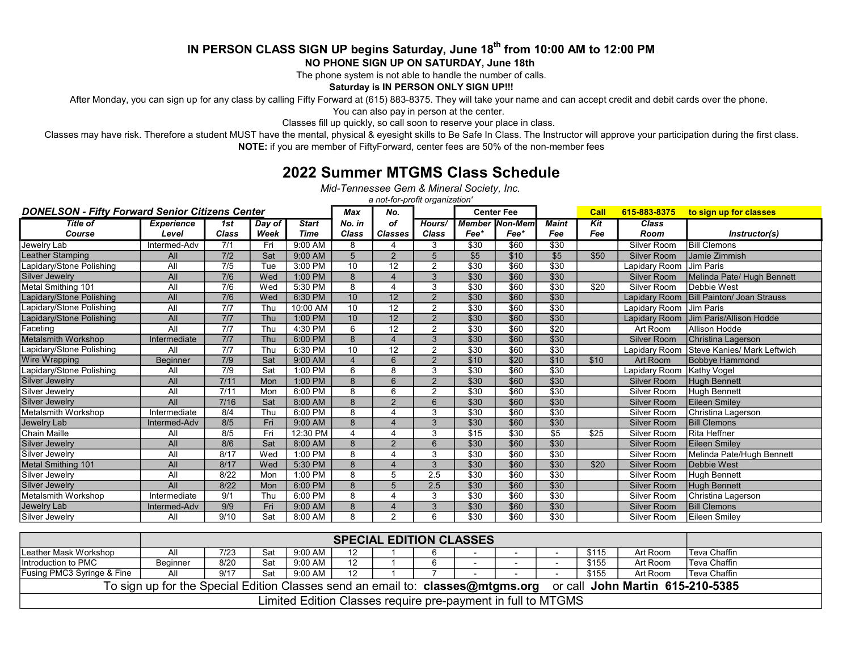#### IN PERSON CLASS SIGN UP begins Saturday, June 18<sup>th</sup> from 10:00 AM to 12:00 PM NO PHONE SIGN UP ON SATURDAY, June 18th

The phone system is not able to handle the number of calls.

Saturday is IN PERSON ONLY SIGN UP!!!

After Monday, you can sign up for any class by calling Fifty Forward at (615) 883-8375. They will take your name and can accept credit and debit cards over the phone.

You can also pay in person at the center.

Classes fill up quickly, so call soon to reserve your place in class.

Classes may have risk. Therefore a student MUST have the mental, physical & eyesight skills to Be Safe In Class. The Instructor will approve your participation during the first class. NOTE: if you are member of FiftyForward, center fees are 50% of the non-member fees

#### 2022 Summer MTGMS Class Schedule

Mid-Tennessee Gem & Mineral Society, Inc.

a not-for-profit organization'

| <b>DONELSON - Fifty Forward Senior Citizens Center</b> | Max               | No.              | <b>Center Fee</b> |              |                 | Call                    | 615-883-8375   | to sign up for classes |                |                  |      |                    |                                    |
|--------------------------------------------------------|-------------------|------------------|-------------------|--------------|-----------------|-------------------------|----------------|------------------------|----------------|------------------|------|--------------------|------------------------------------|
| <b>Title of</b>                                        | <b>Experience</b> | 1st              | Day of            | <b>Start</b> | No. in          | οf                      | Hours/         | <b>Member</b>          | <b>Non-Mem</b> | <b>Maint</b>     | Kit  | Class              |                                    |
| Course                                                 | Level             | <b>Class</b>     | Week              | Time         | Class           | <b>Classes</b>          | <b>Class</b>   | Fee*                   | Fee*           | Fee              | Fee  | Room               | Instructor(s)                      |
| Jewelry Lab                                            | Intermed-Adv      | 7/1              | Fri               | 9:00 AM      | 8               |                         | 3              | \$30                   | \$60           | \$30             |      | Silver Room        | <b>Bill Clemons</b>                |
| Leather Stamping                                       | All               | 7/2              | Sat               | 9:00 AM      | 5               | $\mathcal{P}$           | $\overline{5}$ | \$5                    | \$10           | \$5              | \$50 | <b>Silver Room</b> | Jamie Zimmish                      |
| apidary/Stone Polishing                                | All               | $\overline{7/5}$ | Tue               | 3:00 PM      | 10              | 12                      | $\overline{2}$ | \$30                   | \$60           | \$30             |      | Lapidary Room      | Jim Paris                          |
| Silver Jewelry                                         | All               | 7/6              | Wed               | 1:00 PM      | 8               |                         | 3              | \$30                   | \$60           | \$30             |      | <b>Silver Room</b> | Melinda Pate/ Hugh Bennett         |
| Metal Smithing 101                                     | All               | 7/6              | Wed               | 5:30 PM      | 8               | Δ                       | 3              | \$30                   | \$60           | \$30             | \$20 | Silver Room        | Debbie West                        |
| Lapidary/Stone Polishing                               | All               | 7/6              | Wed               | 6:30 PM      | 10              | 12                      | $\overline{2}$ | $\overline{$30}$       | \$60           | \$30             |      | Lapidary Room      | <b>Bill Painton/ Joan Strauss</b>  |
| Lapidary/Stone Polishing                               | All               | 7/7              | Thu               | 10:00 AM     | 10              | 12                      | $\overline{2}$ | \$30                   | \$60           | \$30             |      | Lapidary Room      | Jim Paris                          |
| Lapidary/Stone Polishing                               | All               | 7/7              | Thu               | 1:00 PM      | 10 <sup>1</sup> | 12                      | $\overline{2}$ | $\overline{$30}$       | \$60           | \$30             |      | Lapidary Room      | Jim Paris/Allison Hodde            |
| Faceting                                               | All               | 7/7              | Thu               | 4:30 PM      | 6               | 12                      | $\mathcal{P}$  | \$30                   | \$60           | \$20             |      | Art Room           | Allison Hodde                      |
| <b>Metalsmith Workshop</b>                             | Intermediate      | 7/7              | Thu               | 6:00 PM      | 8               | $\overline{\mathbf{A}}$ | 3              | \$30                   | \$60           | \$30             |      | <b>Silver Room</b> | Christina Lagerson                 |
| apidary/Stone Polishing                                | All               | 7/7              | Thu               | 6:30 PM      | 10              | 12                      | $\overline{2}$ | \$30                   | \$60           | \$30             |      | Lapidary Room      | <b>Steve Kanies/ Mark Leftwich</b> |
| <b>Wire Wrapping</b>                                   | <b>Beginner</b>   | 7/9              | Sat               | 9:00 AM      |                 | 6                       | $\mathcal{P}$  | \$10                   | \$20           | \$10             | \$10 | Art Room           | <b>Bobbye Hammond</b>              |
| apidary/Stone Polishing                                | All               | 7/9              | Sat               | $1:00$ PM    | 6               | 8                       | 3              | \$30                   | \$60           | \$30             |      | Lapidary Room      | Kathy Vogel                        |
| Silver Jewelry                                         | All               | 7/11             | Mon               | 1:00 PM      | 8               | 6                       | $\mathcal{D}$  | \$30                   | \$60           | \$30             |      | <b>Silver Room</b> | <b>Hugh Bennett</b>                |
| Silver Jewelry                                         | All               | 7/11             | Mon               | $6:00$ PM    | 8               | 6                       | $\overline{2}$ | \$30                   | \$60           | \$30             |      | Silver Room        | Hugh Bennett                       |
| Silver Jewelry                                         | <b>All</b>        | $7/16$           | Sat               | 8:00 AM      | 8               | $\mathfrak{p}$          | $\overline{6}$ | \$30                   | \$60           | \$30             |      | <b>Silver Room</b> | <b>Eileen Smiley</b>               |
| Metalsmith Workshop                                    | Intermediate      | 8/4              | Thu               | 6:00 PM      | 8               | $\boldsymbol{\Lambda}$  | 3              | \$30                   | \$60           | $\overline{$30}$ |      | Silver Room        | Christina Lagerson                 |
| Jewelry Lab                                            | Intermed-Adv      | 8/5              | Fri               | 9:00 AM      | 8               | $\boldsymbol{\Lambda}$  | 3              | \$30                   | \$60           | \$30             |      | <b>Silver Room</b> | <b>Bill Clemons</b>                |
| Chain Maille                                           | All               | 8/5              | Fri               | 12:30 PM     |                 |                         | 3              | \$15                   | \$30           | \$5              | \$25 | Silver Room        | <b>Rita Heffner</b>                |
| Silver Jewelry                                         | All               | 8/6              | Sat               | 8:00 AM      | 8               | $\mathcal{P}$           | 6              | $\overline{$30}$       | \$60           | \$30             |      | <b>Silver Room</b> | Eileen Smiley                      |
| Silver Jewelry                                         | All               | 8/17             | Wed               | 1:00 PM      | 8               |                         | 3              | \$30                   | \$60           | \$30             |      | Silver Room        | Melinda Pate/Hugh Bennett          |
| Metal Smithing 101                                     | All               | 8/17             | Wed               | 5:30 PM      | 8               | 4                       | 3              | \$30                   | \$60           | \$30             | \$20 | <b>Silver Room</b> | Debbie West                        |
| Silver Jewelry                                         | All               | 8/22             | Mon               | 1:00 PM      | 8               | 5                       | 2.5            | \$30                   | \$60           | \$30             |      | Silver Room        | <b>Hugh Bennett</b>                |
| <b>Silver Jewelry</b>                                  | All               | 8/22             | Mon               | 6:00 PM      | 8               | 5                       | 2.5            | \$30                   | \$60           | \$30             |      | <b>Silver Room</b> | <b>Hugh Bennett</b>                |
| <b>Metalsmith Workshop</b>                             | Intermediate      | 9/1              | Thu               | 6:00 PM      | 8               |                         | 3              | \$30                   | \$60           | \$30             |      | Silver Room        | Christina Lagerson                 |
| Jewelry Lab                                            | Intermed-Adv      | 9/9              | Fri               | 9:00 AM      | 8               |                         | 3              | \$30                   | \$60           | \$30             |      | <b>Silver Room</b> | <b>Bill Clemons</b>                |
| Silver Jewelry                                         | All               | 9/10             | Sat               | 8:00 AM      | 8               | $\mathcal{P}$           | 6              | \$30                   | \$60           | \$30             |      | Silver Room        | Eileen Smiley                      |

|                                                                                                                    | <b>SPECIAL EDITION CLASSES</b> |      |     |         |    |  |  |                          |  |  |       |          |               |
|--------------------------------------------------------------------------------------------------------------------|--------------------------------|------|-----|---------|----|--|--|--------------------------|--|--|-------|----------|---------------|
| Leather Mask Workshop                                                                                              | All                            | 7/23 | Sat | 9:00 AM |    |  |  | $\sim$                   |  |  | \$115 | Art Room | Teva Chaffin  |
| Introduction to PMC                                                                                                | Beginner                       | 8/20 | Sat | 9:00 AM | 12 |  |  | $\overline{\phantom{0}}$ |  |  | \$155 | Art Room | lTeva Chaffin |
| <b>Fusing PMC3 Syringe &amp; Fine</b>                                                                              | All                            | 9/17 | Sat | 9:00 AM | 12 |  |  | $\overline{\phantom{0}}$ |  |  | \$155 | Art Room | lTeva Chaffin |
| or call John Martin 615-210-5385<br>To sign up for the Special Edition Classes send an email to: classes@mtgms.org |                                |      |     |         |    |  |  |                          |  |  |       |          |               |
| Limited Edition Classes require pre-payment in full to MTGMS                                                       |                                |      |     |         |    |  |  |                          |  |  |       |          |               |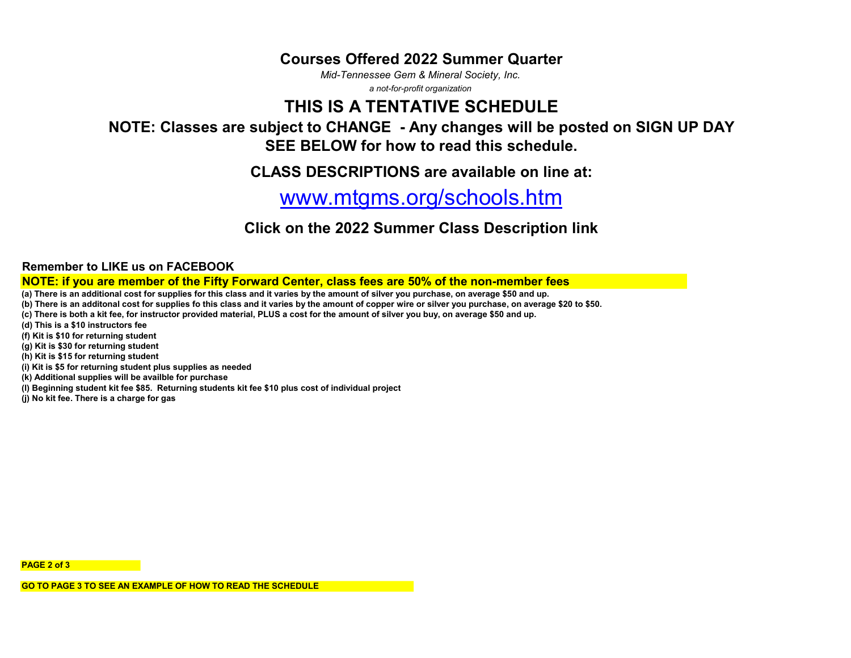#### Courses Offered 2022 Summer Quarter

Mid-Tennessee Gem & Mineral Society, Inc.

a not-for-profit organization

## THIS IS A TENTATIVE SCHEDULE

#### NOTE: Classes are subject to CHANGE - Any changes will be posted on SIGN UP DAY SEE BELOW for how to read this schedule.

CLASS DESCRIPTIONS are available on line at:

# www.mtgms.org/schools.htm

#### Click on the 2022 Summer Class Description link

Remember to LIKE us on FACEBOOK

NOTE: if you are member of the Fifty Forward Center, class fees are 50% of the non-member fees

(a) There is an additional cost for supplies for this class and it varies by the amount of silver you purchase, on average \$50 and up.

(b) There is an additonal cost for supplies fo this class and it varies by the amount of copper wire or silver you purchase, on average \$20 to \$50.

(c) There is both a kit fee, for instructor provided material, PLUS a cost for the amount of silver you buy, on average \$50 and up.

(d) This is a \$10 instructors fee

(f) Kit is \$10 for returning student

(g) Kit is \$30 for returning student

(h) Kit is \$15 for returning student

(i) Kit is \$5 for returning student plus supplies as needed

(k) Additional supplies will be availble for purchase

(l) Beginning student kit fee \$85. Returning students kit fee \$10 plus cost of individual project

(j) No kit fee. There is a charge for gas

PAGE 2 of 3

GO TO PAGE 3 TO SEE AN EXAMPLE OF HOW TO READ THE SCHEDULE